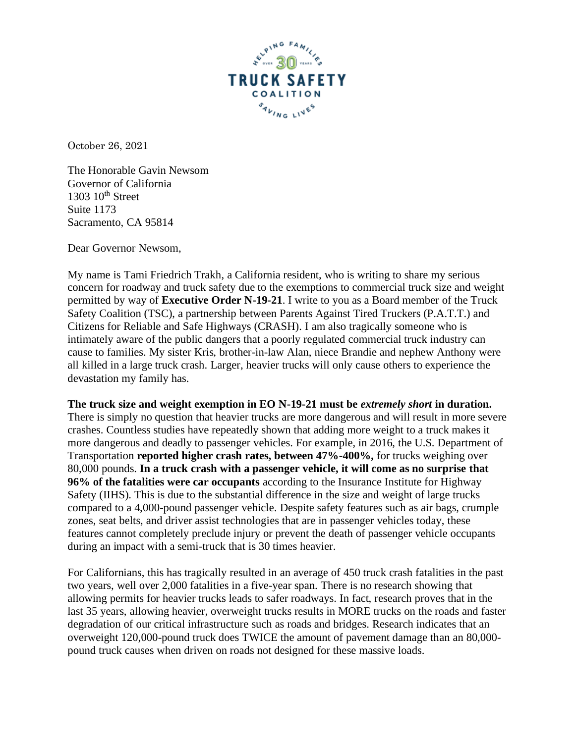

October 26, 2021

The Honorable Gavin Newsom Governor of California  $1303$   $10^{th}$  Street Suite 1173 Sacramento, CA 95814

Dear Governor Newsom,

My name is Tami Friedrich Trakh, a California resident, who is writing to share my serious concern for roadway and truck safety due to the exemptions to commercial truck size and weight permitted by way of **Executive Order N-19-21**. I write to you as a Board member of the Truck Safety Coalition (TSC), a partnership between Parents Against Tired Truckers (P.A.T.T.) and Citizens for Reliable and Safe Highways (CRASH). I am also tragically someone who is intimately aware of the public dangers that a poorly regulated commercial truck industry can cause to families. My sister Kris, brother-in-law Alan, niece Brandie and nephew Anthony were all killed in a large truck crash. Larger, heavier trucks will only cause others to experience the devastation my family has.

**The truck size and weight exemption in EO N-19-21 must be** *extremely short* **in duration.** There is simply no question that heavier trucks are more dangerous and will result in more severe crashes. Countless studies have repeatedly shown that adding more weight to a truck makes it more dangerous and deadly to passenger vehicles. For example, in 2016, the U.S. Department of Transportation **reported higher crash rates, between 47%-400%,** for trucks weighing over 80,000 pounds. **In a truck crash with a passenger vehicle, it will come as no surprise that 96% of the fatalities were car occupants** according to the Insurance Institute for Highway Safety (IIHS). This is due to the substantial difference in the size and weight of large trucks compared to a 4,000-pound passenger vehicle. Despite safety features such as air bags, crumple zones, seat belts, and driver assist technologies that are in passenger vehicles today, these features cannot completely preclude injury or prevent the death of passenger vehicle occupants during an impact with a semi-truck that is 30 times heavier.

For Californians, this has tragically resulted in an average of 450 truck crash fatalities in the past two years, well over 2,000 fatalities in a five-year span. There is no research showing that allowing permits for heavier trucks leads to safer roadways. In fact, research proves that in the last 35 years, allowing heavier, overweight trucks results in MORE trucks on the roads and faster degradation of our critical infrastructure such as roads and bridges. Research indicates that an overweight 120,000-pound truck does TWICE the amount of pavement damage than an 80,000 pound truck causes when driven on roads not designed for these massive loads.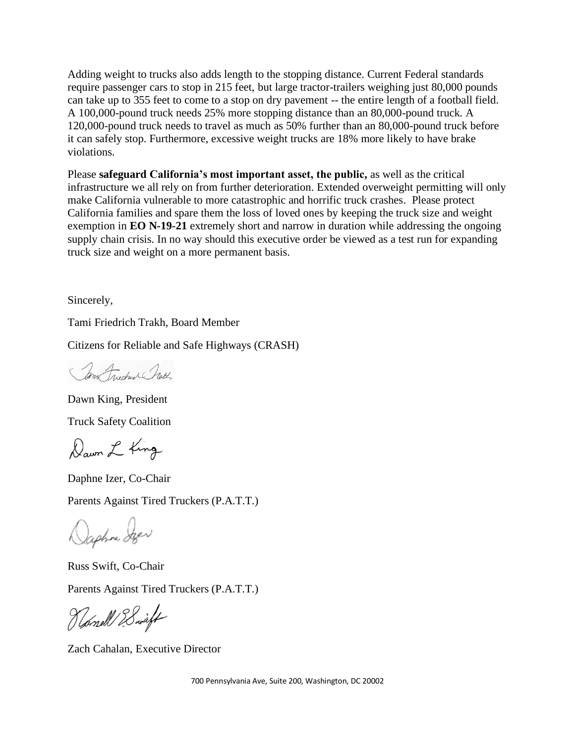Adding weight to trucks also adds length to the stopping distance. Current Federal standards require passenger cars to stop in 215 feet, but large tractor-trailers weighing just 80,000 pounds can take up to 355 feet to come to a stop on dry pavement -- the entire length of a football field. A 100,000-pound truck needs 25% more stopping distance than an 80,000-pound truck. A 120,000-pound truck needs to travel as much as 50% further than an 80,000-pound truck before it can safely stop. Furthermore, excessive weight trucks are 18% more likely to have brake violations.

Please **safeguard California's most important asset, the public,** as well as the critical infrastructure we all rely on from further deterioration. Extended overweight permitting will only make California vulnerable to more catastrophic and horrific truck crashes. Please protect California families and spare them the loss of loved ones by keeping the truck size and weight exemption in **EO N-19-21** extremely short and narrow in duration while addressing the ongoing supply chain crisis. In no way should this executive order be viewed as a test run for expanding truck size and weight on a more permanent basis.

Sincerely,

Tami Friedrich Trakh, Board Member

Citizens for Reliable and Safe Highways (CRASH)

mo Frederic Crath

Dawn King, President Truck Safety Coalition

Dawn L King

Daphne Izer, Co-Chair Parents Against Tired Truckers (P.A.T.T.)

Daphne Szer

Russ Swift, Co-Chair Parents Against Tired Truckers (P.A.T.T.)

Hamell & Swift

Zach Cahalan, Executive Director